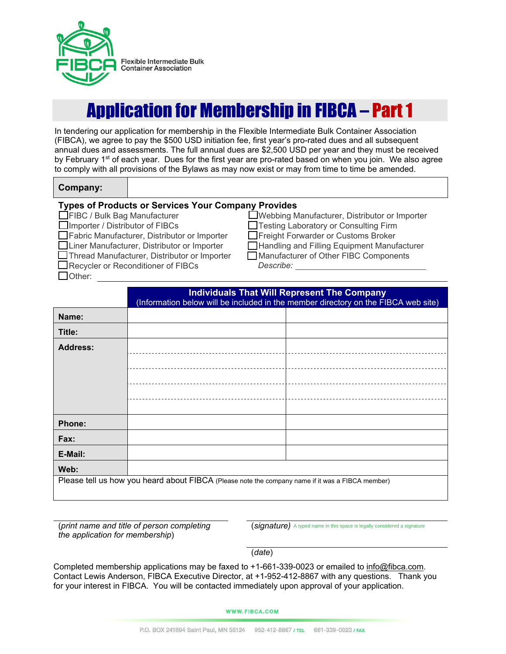

# Application for Membership in FIBCA – Part 1

In tendering our application for membership in the Flexible Intermediate Bulk Container Association (FIBCA), we agree to pay the \$500 USD initiation fee, first year's pro-rated dues and all subsequent annual dues and assessments. The full annual dues are \$2,500 USD per year and they must be received by February 1<sup>st</sup> of each year. Dues for the first year are pro-rated based on when you join. We also agree to comply with all provisions of the Bylaws as may now exist or may from time to time be amended.

### **Company:**

### **Types of Products or Services Your Company Provides**

**FIBC** / Bulk Bag Manufacturer

□Importer / Distributor of FIBCs

■Fabric Manufacturer, Distributor or Importer

□Liner Manufacturer, Distributor or Importer

Thread Manufacturer, Distributor or Importer

■Recycler or Reconditioner of FIBCs

□ Other:

Webbing Manufacturer, Distributor or Importer Testing Laboratory or Consulting Firm **T**Freight Forwarder or Customs Broker **■Handling and Filling Equipment Manufacturer**  Manufacturer of Other FIBC Components *Describe:* 

|                                                                                                  | <b>Individuals That Will Represent The Company</b><br>(Information below will be included in the member directory on the FIBCA web site) |  |  |
|--------------------------------------------------------------------------------------------------|------------------------------------------------------------------------------------------------------------------------------------------|--|--|
| Name:                                                                                            |                                                                                                                                          |  |  |
| Title:                                                                                           |                                                                                                                                          |  |  |
| <b>Address:</b>                                                                                  |                                                                                                                                          |  |  |
|                                                                                                  |                                                                                                                                          |  |  |
|                                                                                                  |                                                                                                                                          |  |  |
|                                                                                                  |                                                                                                                                          |  |  |
|                                                                                                  |                                                                                                                                          |  |  |
| Phone:                                                                                           |                                                                                                                                          |  |  |
| Fax:                                                                                             |                                                                                                                                          |  |  |
| E-Mail:                                                                                          |                                                                                                                                          |  |  |
| Web:                                                                                             |                                                                                                                                          |  |  |
| Please tell us how you heard about FIBCA (Please note the company name if it was a FIBCA member) |                                                                                                                                          |  |  |
|                                                                                                  |                                                                                                                                          |  |  |

(*print name and title of person completing the application for membership*)

(*signature)* A typed name in this space is legally considered a signature

(*date*)

Completed membership applications may be faxed to +1-661-339-0023 or emailed to info@fibca.com. Contact Lewis Anderson, FIBCA Executive Director, at +1-952-412-8867 with any questions. Thank you for your interest in FIBCA. You will be contacted immediately upon approval of your application.

#### **WWW.FIBCA.COM**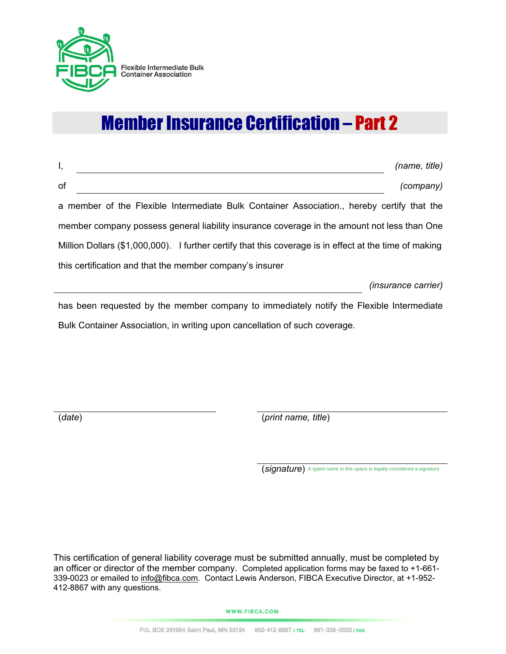

Flexible Intermediate Bulk<br>Container Association

# Member Insurance Certification – Part 2

| Ι,                                                                                                     | (name, title)              |  |  |
|--------------------------------------------------------------------------------------------------------|----------------------------|--|--|
| of                                                                                                     | (company)                  |  |  |
| a member of the Flexible Intermediate Bulk Container Association., hereby certify that the             |                            |  |  |
| member company possess general liability insurance coverage in the amount not less than One            |                            |  |  |
| Million Dollars (\$1,000,000). I further certify that this coverage is in effect at the time of making |                            |  |  |
| this certification and that the member company's insurer                                               |                            |  |  |
|                                                                                                        | <i>(insurance carrier)</i> |  |  |
| has been requested by the member company to immediately notify the Flexible Intermediate               |                            |  |  |

Bulk Container Association, in writing upon cancellation of such coverage.

(*date*) (*print name, title*)

(*signature*) A typed name in this space is legally considered a signature

This certification of general liability coverage must be submitted annually, must be completed by an officer or director of the member company. Completed application forms may be faxed to +1-661- 339-0023 or emailed to info@fibca.com. Contact Lewis Anderson, FIBCA Executive Director, at +1-952-412-8867 with any questions.

**WWW.FIBCA.COM**